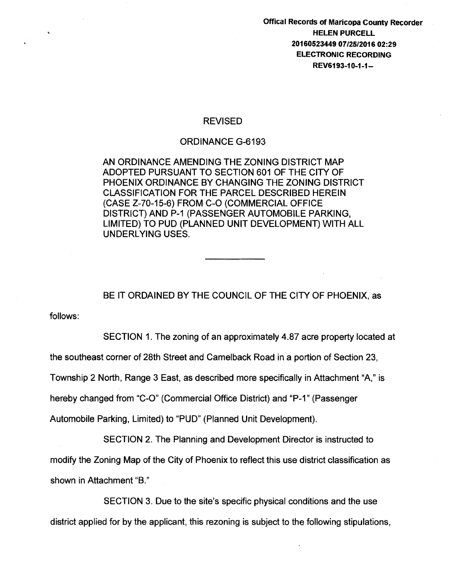Offical Records of Maricopa County Recorder HELEN PURCELL 20160523449 07/25/2016 02:29 ELECTRONIC RECORDING REV6193-10-1-1-

## REVISED

## ORDINANCE G-6193

AN ORDINANCE AMENDING THE ZONING DISTRICT MAP ADOPTED PURSUANT TO SECTION 601 OF THE CITY OF PHOENIX ORDINANCE BY CHANGING THE ZONING DISTRICT CLASSIFICATION FOR THE PARCEL DESCRIBED HEREIN (CASE Z-70-15-6) FROM C-0 (COMMERCIAL OFFICE DISTRICT) AND P-1 (PASSENGER AUTOMOBILE PARKING, LIMITED) TO PUD (PLANNED UNIT DEVELOPMENT) WITH ALL UNDERLYING USES.

BE IT ORDAINED BY THE COUNCIL OF THE CITY OF PHOENIX, as

follows:

SECTION 1. The zoning of an approximately 4.87 acre property located at

the southeast corner of 28th Street and Camelback Road in a portion of Section 23,

Township 2 North, Range 3 East, as described more specifically in Attachment "A," is

hereby changed from "C-O" (Commercial Office District) and "P-1" (Passenger

Automobile Parking, Limited} to "PUD" (Planned Unit Development).

SECTION 2. The Planning and Development Director is instructed to modify the Zoning Map of the City of Phoenix to reflect this use district classification as shown in Attachment "B."

SECTION 3. Due to the site's specific physical conditions and the use district applied for by the applicant, this rezoning is subject to the following stipulations,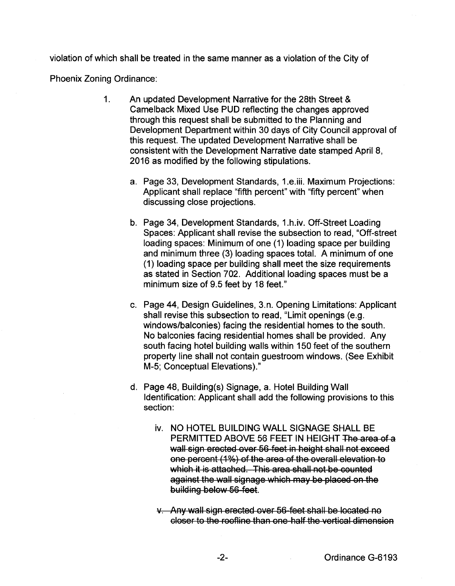violation of which shall be treated in the same manner as a violation of the City of

Phoenix Zoning Ordinance:

- 1. An updated Development Narrative for the 28th Street & Camelback Mixed Use PUD reflecting the changes approved through this request shall be submitted to the Planning and Development Department within 30 days of City Council approval of this request. The updated Development Narrative shall be consistent with the Development Narrative date stamped April 8, 2016 as modified by the following stipulations.
	- a. Page 33, Development Standards, 1.e.iii. Maximum Projections: Applicant shall replace "fifth percent" with "fifty percent" when discussing close projections.
	- b. Page 34, Development Standards, 1.h.iv. Off-Street Loading Spaces: Applicant shall revise the subsection to read, "Off-street loading spaces: Minimum of one (1) loading space per building and minimum three (3) loading spaces total. A minimum of one (1) loading space per building shall meet the size requirements as stated in Section 702. Additional loading spaces must be a minimum size of 9.5 feet by 18 feet."
	- c. Page 44, Design Guidelines, 3.n. Opening Limitations: Applicant shall revise this subsection to read, "Limit openings (e.g. windows/balconies) facing the residential homes to the south. No balconies facing residential homes shall be provided. Any south facing hotel building walls within 150 feet of the southern property line shall not contain guestroom windows. (See Exhibit M-5; Conceptual Elevations)."
	- d. Page 48, Building(s) Signage, a. Hotel Building Wall Identification: Applicant shall add the following provisions to this section:
		- iv. NO HOTEL BUILDING WALL SIGNAGE SHALL BE PERMITTED ABOVE 56 FEET IN HEIGHT The area of a wall sign erected over 56 feet in height shall not exceed one percent (1%) of the area of the overall elevation to which it is attached. This area shall not be counted against the wall signage which may be placed on the building below 56 feet.
		- v. Any wall sign erected over 56 feet shall be located no closer to the roofline than one half the vertical dimension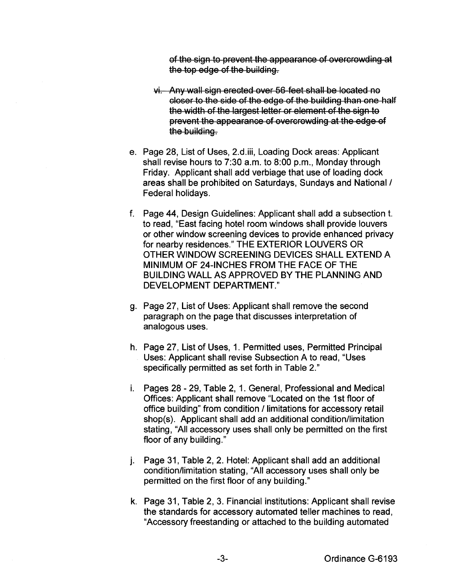of the sign to prevent the appearance of overcrowding at the top edge of the building.

- $vi.$  Any wall sign erected over 56 feet shall be located no closer to the side of the edge of the building than one half the width of the largest letter or element of the sign to prevent the appearance of overcrowding at the edge of the building.
- e. Page 28, List of Uses, 2.d.iii, Loading Dock areas: Applicant shall revise hours to  $7:30$  a.m. to  $8:00$  p.m., Monday through Friday. Applicant shall add verbiage that use of loading dock areas shall be prohibited on Saturdays, Sundays and National I Federal holidays.
- f. Page 44, Design Guidelines: Applicant shall add a subsection t. to read, "East facing hotel room windows shall provide louvers or other window screening devices to provide enhanced privacy for nearby residences." THE EXTERIOR LOUVERS OR OTHER WINDOW SCREENING DEVICES SHALL EXTEND A MINIMUM OF 24-INCHES FROM THE FACE OF THE BUILDING WALL AS APPROVED BY THE PLANNING AND DEVELOPMENT DEPARTMENT."
- g. Page 27, List of Uses: Applicant shall remove the second paragraph on the page that discusses interpretation of analogous uses.
- h. Page 27, List of Uses, 1. Permitted uses, Permitted Principal Uses: Applicant shall revise Subsection A to read, "Uses specifically permitted as set forth in Table 2."
- i. Pages 28- 29, Table 2, 1. General, Professional and Medical Offices: Applicant shall remove "Located on the 1st floor of office building" from condition / limitations for accessory retail shop(s). Applicant shall add an additional condition/limitation stating, "All accessory uses shall only be permitted on the first floor of any building."
- j. Page 31, Table 2, 2. Hotel: Applicant shall add an additional condition/limitation stating, "All accessory uses shall only be permitted on the first floor of any building."
- k. Page 31, Table 2, 3. Financial institutions: Applicant shall revise the standards for accessory automated teller machines to read, "Accessory freestanding or attached to the building automated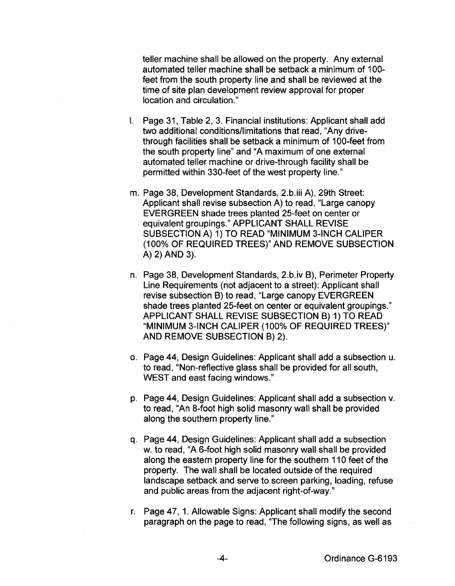teller machine shall be allowed on the property. Any external automated teller machine shall be setback a minimum of 100feet from the south property line and shall be reviewed at the time of site plan development review approval for proper location and circulation."

- I. Page 31, Table 2, 3. Financial institutions: Applicant shall add two additional conditions/limitations that read, "Any drivethrough facilities shall be setback a minimum of 100-feet from the south property line" and "A maximum of one external automated teller machine or drive-through facility shall be permitted within 330-feet of the west property line."
- m. Page 38, Development Standards, 2.b.iii A), 29th Street: Applicant shall revise subsection A) to read, "Large canopy EVERGREEN shade trees planted 25-feet on center or equivalent groupings." APPLICANT SHALL REVISE SUBSECTION A) 1) TO READ "MINIMUM 3-INCH CALIPER (100% OF REQUIRED TREES)" AND REMOVE SUBSECTION A) 2) AND 3).
- n. Page 38, Development Standards, 2.b.iv B), Perimeter Property Line Requirements (not adjacent to a street): Applicant shall revise subsection B) to read, "Large canopy EVERGREEN shade trees planted 25-feet on center or equivalent groupings." APPLICANT SHALL REVISE SUBSECTION B) 1) TO READ "MINIMUM 3-INCH CALIPER (100% OF REQUIRED TREES)" AND REMOVE SUBSECTION B) 2).
- o. Page 44, Design Guidelines: Applicant shall add a subsection u. to read, "Non-reflective glass shall be provided for all south, WEST and east facing windows."
- p. Page 44, Design Guidelines: Applicant shall add a subsection v. to read, "An 8-foot high solid masonry wall shall be provided along the southern property line."
- q. Page 44, Design Guidelines: Applicant shall add a subsection w. to read, "A 6-foot high solid masonry wall shall be provided along the eastern property line for the southern 110 feet of the property. The wall shall be located outside of the required landscape setback and serve to screen parking, loading, refuse and public areas from the adjacent right-of-way."
- r. Page 47, 1. Allowable Signs: Applicant shall modify the second paragraph on the page to read, 'The following signs, as well as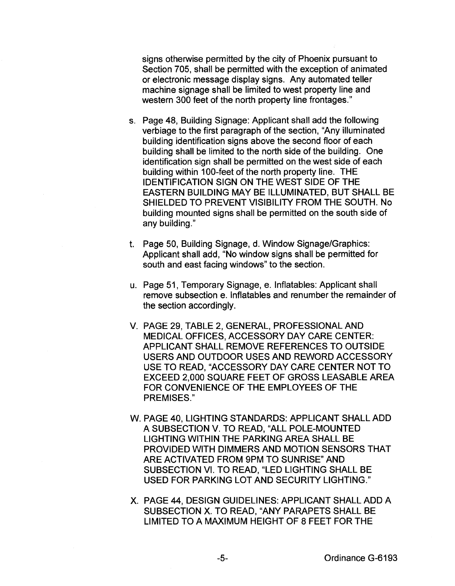signs otherwise permitted by the city of Phoenix pursuant to Section 705, shall be permitted with the exception of animated or electronic message display signs. Any automated teller machine signage shall be limited to west property line and western 300 feet of the north property line frontages."

- s. Page 48, Building Signage: Applicant shall add the following verbiage to the first paragraph of the section, "Any illuminated building identification signs above the second floor of each building shall be limited to the north side of the building. One identification sign shall be permitted on the west side of each building within 100-feet of the north property line. THE IDENTIFICATION SIGN ON THE WEST SIDE OF THE EASTERN BUILDING MAY BE ILLUMINATED, BUT SHALL BE SHIELDED TO PREVENT VISIBILITY FROM THE SOUTH. No building mounted signs shall be permitted on the south side of any building."
- t. Page 50, Building Signage, d. Window Signage/Graphics: Applicant shall add, "No window signs shall be permitted for south and east facing windows" to the section.
- u. Page 51, Temporary Signage, e. lnflatables: Applicant shall remove subsection e. lnflatables and renumber the remainder of the section accordingly.
- V. PAGE 29, TABLE 2, GENERAL, PROFESSIONAL AND MEDICAL OFFICES, ACCESSORY DAY CARE CENTER: APPLICANT SHALL REMOVE REFERENCES TO OUTSIDE USERS AND OUTDOOR USES AND REWORD ACCESSORY USE TO READ, "ACCESSORY DAY CARE CENTER NOT TO EXCEED 2,000 SQUARE FEET OF GROSS LEASABLE AREA FOR CONVENIENCE OF THE EMPLOYEES OF THE PREMISES."
- W. PAGE 40, LIGHTING STANDARDS: APPLICANT SHALL ADD A SUBSECTION V. TO READ, "ALL POLE-MOUNTED LIGHTING WITHIN THE PARKING AREA SHALL BE PROVIDED WITH DIMMERS AND MOTION SENSORS THAT ARE ACTIVATED FROM 9PM TO SUNRISE" AND SUBSECTION VI. TO READ, "LED LIGHTING SHALL BE USED FOR PARKING LOT AND SECURITY LIGHTING."
- X. PAGE 44, DESIGN GUIDELINES: APPLICANT SHALL ADD A SUBSECTION X. TO READ, "ANY PARAPETS SHALL BE LIMITED TO A MAXIMUM HEIGHT OF 8 FEET FOR THE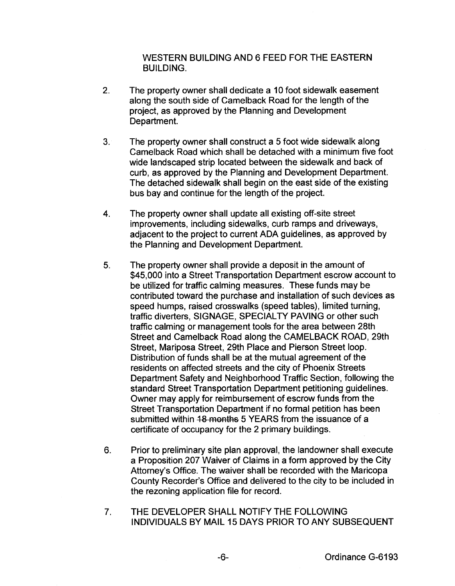WESTERN BUILDING AND 6 FEED FOR THE EASTERN BUILDING.

- 2. The property owner shall dedicate a 10 foot sidewalk easement along the south side of Camelback Road for the length of the project, as approved by the Planning and Development Department.
- 3. The property owner shall construct a 5 foot wide sidewalk along Camelback Road which shall be detached with a minimum five foot wide landscaped strip located between the sidewalk and back of curb, as approved by the Planning and Development Department. The detached sidewalk shall begin on the east side of the existing bus bay and continue for the length of the project.
- 4. The property owner shall update all existing off-site street improvements, including sidewalks, curb ramps and driveways, adjacent to the project to current ADA guidelines, as approved by the Planning and Development Department.
- 5. The property owner shall provide a deposit in the amount of \$45,000 into a Street Transportation Department escrow account to be utilized for traffic calming measures. These funds may be contributed toward the purchase and installation of such devices as speed humps, raised crosswalks (speed tables}, limited turning, traffic diverters, SIGNAGE, SPECIALTY PAVING or other such traffic calming or management tools for the area between 28th Street and Camelback Road along the CAMELBACK ROAD, 29th Street, Mariposa Street, 29th Place and Pierson Street loop. Distribution of funds shall be at the mutual agreement of the residents on affected streets and the city of Phoenix Streets Department Safety and Neighborhood Traffic Section, following the standard Street Transportation Department petitioning guidelines. Owner may apply for reimbursement of escrow funds from the Street Transportation Department if no formal petition has been submitted within 18 months 5 YEARS from the issuance of a certificate of occupancy for the 2 primary buildings.
- 6. Prior to preliminary site plan approval, the landowner shall execute a Proposition 207 Waiver of Claims in a form approved by the City Attorney's Office. The waiver shall be recorded with the Maricopa County Recorder's Office and delivered to the city to be included in the rezoning application file for record.
- 7. THE DEVELOPER SHALL NOTIFY THE FOLLOWING INDIVIDUALS BY MAIL 15 DAYS PRIOR TO ANY SUBSEQUENT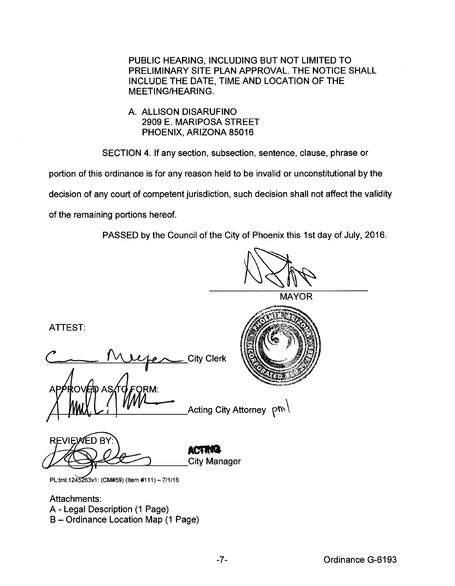PUBLIC HEARING, INCLUDING BUT NOT LIMITED TO PRELIMINARY SITE PLAN APPROVAL. THE NOTICE SHALL INCLUDE THE DATE, TIME AND LOCATION OF THE MEETING/HEARING.

# A. ALLISON DISARUFINO 2909 E. MARIPOSA STREET PHOENIX, ARIZONA 85016

SECTION 4. If any section, subsection, sentence, clause, phrase or

portion of this ordinance is for any reason held to be invalid or unconstitutional by the

decision of any court of competent jurisdiction, such decision shall not affect the validity

of the remaining portions hereof.

PASSED by the Council of the City of Phoenix this 1st day of July, 2016.

**MAYOR** 

ATTEST:

C Murper City Clerk RO) Acting City Attorney (איר

**REVIEWED BY** U City Manager

**ACTING** 

PL:tml:1245263v1: (CM#59) (Item #111) - 7/1/16

Attachments: A- Legal Description (1 Page) B- Ordinance Location Map (1 Page)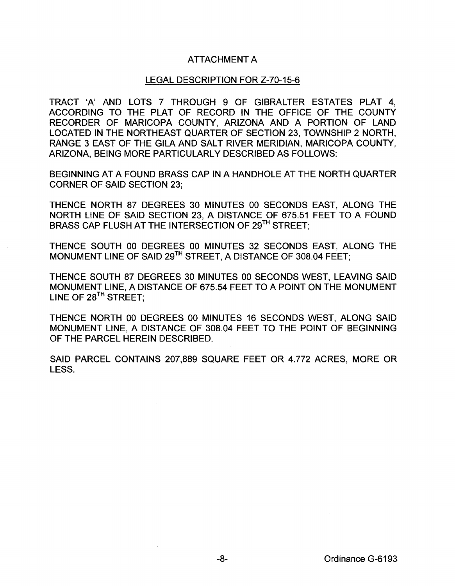# ATTACHMENT A

### LEGAL DESCRIPTION FOR Z-70-15-6

TRACT 'A' AND LOTS 7 THROUGH 9 OF GIBRALTER ESTATES PLAT 4, ACCORDING TO THE PLAT OF RECORD IN THE OFFICE OF THE COUNTY RECORDER OF MARICOPA COUNTY, ARIZONA AND A PORTION OF LAND LOCATED IN THE NORTHEAST QUARTER OF SECTION 23, TOWNSHIP 2 NORTH, RANGE 3 EAST OF THE GILA AND SALT RIVER MERIDIAN, MARICOPA COUNTY, ARIZONA, BEING MORE PARTICULARLY DESCRIBED AS FOLLOWS:

BEGINNING AT A FOUND BRASS CAP IN A HANDHOLE AT THE NORTH QUARTER CORNER OF SAID SECTION 23;

THENCE NORTH 87 DEGREES 30 MINUTES 00 SECONDS EAST, ALONG THE NORTH LINE OF SAID SECTION 23, A DISTANCE OF 675.51 FEET TO A FOUND BRASS CAP FLUSH AT THE INTERSECTION OF 29<sup>TH</sup> STREET:

THENCE SOUTH 00 DEGREES 00 MINUTES 32 SECONDS EAST, ALONG THE MONUMENT LINE OF SAID 29TH STREET, A DISTANCE OF 308.04 FEET;

THENCE SOUTH 87 DEGREES 30 MINUTES 00 SECONDS WEST, LEAVING SAID MONUMENT LINE, A DISTANCE OF 675.54 FEET TO A POINT ON THE MONUMENT LINE OF 28<sup>TH</sup> STREET;

THENCE NORTH 00 DEGREES 00 MINUTES 16 SECONDS WEST, ALONG SAID MONUMENT LINE, A DISTANCE OF 308.04 FEET TO THE POINT OF BEGINNING OF THE PARCEL HEREIN DESCRIBED.

SAID PARCEL CONTAINS 207,889 SQUARE FEET OR 4.772 ACRES, MORE OR LESS.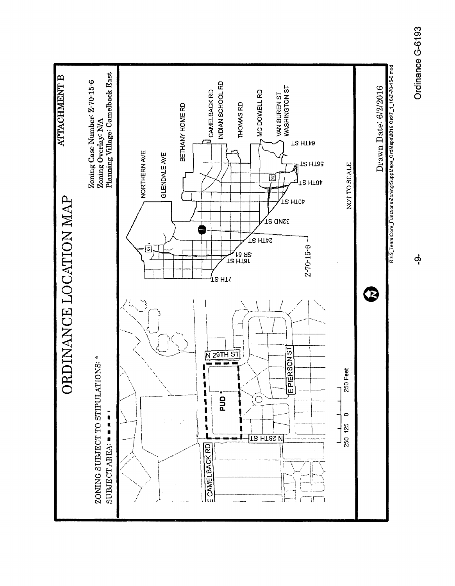

တုံ